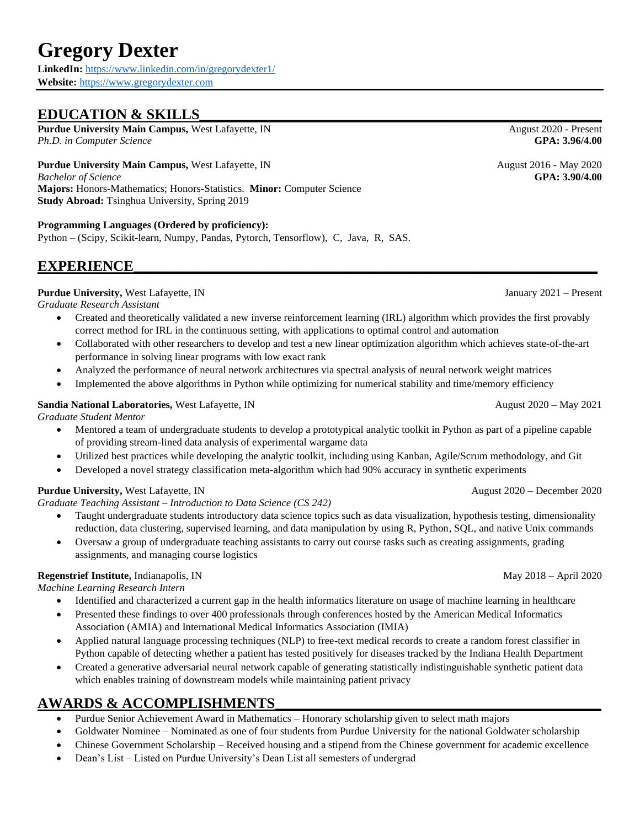# **Gregory Dexter**

**LinkedIn:** <https://www.linkedin.com/in/gregorydexter1/> **Website:** [https://www.gregorydexter.com](https://www.gregorydexter.com/)

# EDUCATION & SKILLS

**Purdue University Main Campus,** West Lafayette, IN August 2020 - Present *Ph.D. in Computer Science* **GPA: 3.96/4.00**

## **Purdue University Main Campus,** West Lafayette, IN August 2016 - May 2020

*Bachelor of Science* **GPA: 3.90/4.00 Majors:** Honors-Mathematics; Honors-Statistics. **Minor:** Computer Science **Study Abroad:** Tsinghua University, Spring 2019

#### **Programming Languages (Ordered by proficiency):**

Python – (Scipy, Scikit-learn, Numpy, Pandas, Pytorch, Tensorflow), C, Java, R, SAS.

## $EXPERIENCE$

## **Purdue University,** West Lafayette, IN January 2021 – Present

*Graduate Research Assistant*

- Created and theoretically validated a new inverse reinforcement learning (IRL) algorithm which provides the first provably correct method for IRL in the continuous setting, with applications to optimal control and automation
- Collaborated with other researchers to develop and test a new linear optimization algorithm which achieves state-of-the-art performance in solving linear programs with low exact rank
- Analyzed the performance of neural network architectures via spectral analysis of neural network weight matrices
- Implemented the above algorithms in Python while optimizing for numerical stability and time/memory efficiency

#### **Sandia National Laboratories,** West Lafayette, IN August 2020 – May 2021

*Graduate Student Mentor*

- Mentored a team of undergraduate students to develop a prototypical analytic toolkit in Python as part of a pipeline capable of providing stream-lined data analysis of experimental wargame data
- Utilized best practices while developing the analytic toolkit, including using Kanban, Agile/Scrum methodology, and Git
- Developed a novel strategy classification meta-algorithm which had 90% accuracy in synthetic experiments

## **Purdue University,** West Lafayette, IN August 2020 – December 2020

*Graduate Teaching Assistant – Introduction to Data Science (CS 242)*

- Taught undergraduate students introductory data science topics such as data visualization, hypothesis testing, dimensionality reduction, data clustering, supervised learning, and data manipulation by using R, Python, SQL, and native Unix commands
- Oversaw a group of undergraduate teaching assistants to carry out course tasks such as creating assignments, grading assignments, and managing course logistics

## **Regenstrief Institute,** Indianapolis, IN May 2018 – April 2020

*Machine Learning Research Intern*

- Identified and characterized a current gap in the health informatics literature on usage of machine learning in healthcare
- Presented these findings to over 400 professionals through conferences hosted by the American Medical Informatics Association (AMIA) and International Medical Informatics Association (IMIA)
- Applied natural language processing techniques (NLP) to free-text medical records to create a random forest classifier in Python capable of detecting whether a patient has tested positively for diseases tracked by the Indiana Health Department
- Created a generative adversarial neural network capable of generating statistically indistinguishable synthetic patient data which enables training of downstream models while maintaining patient privacy

# **AWARDS & ACCOMPLISHMENTS\_\_\_\_\_\_\_\_\_\_\_\_\_\_\_\_\_\_\_\_\_\_\_\_\_\_\_\_\_\_\_\_\_\_\_\_\_\_\_\_\_\_\_\_\_\_\_\_\_\_\_\_**

- Purdue Senior Achievement Award in Mathematics Honorary scholarship given to select math majors
- Goldwater Nominee Nominated as one of four students from Purdue University for the national Goldwater scholarship
- Chinese Government Scholarship Received housing and a stipend from the Chinese government for academic excellence
- Dean's List Listed on Purdue University's Dean List all semesters of undergrad